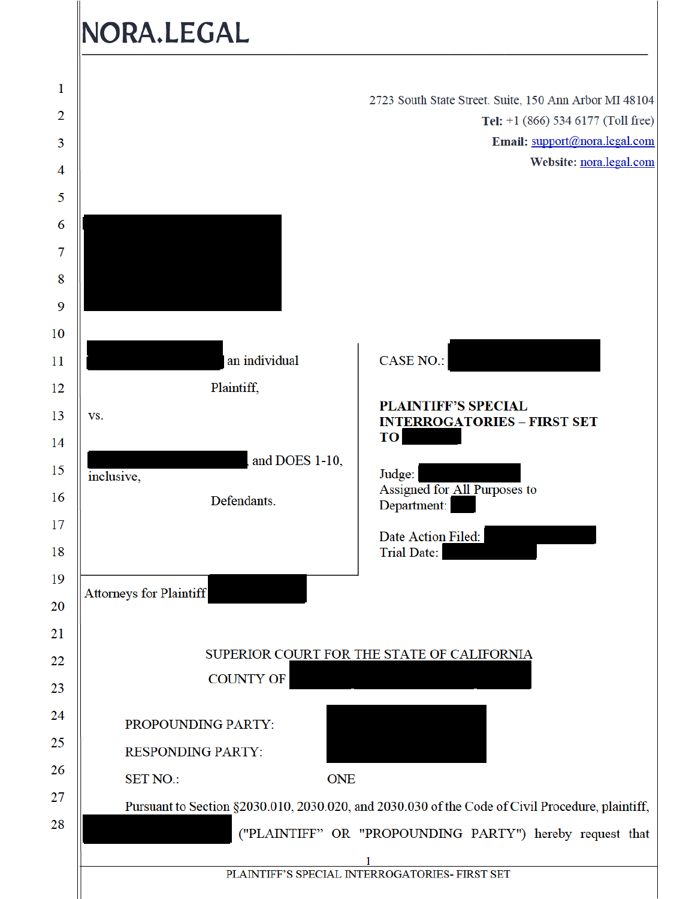# NORA.LEGAL

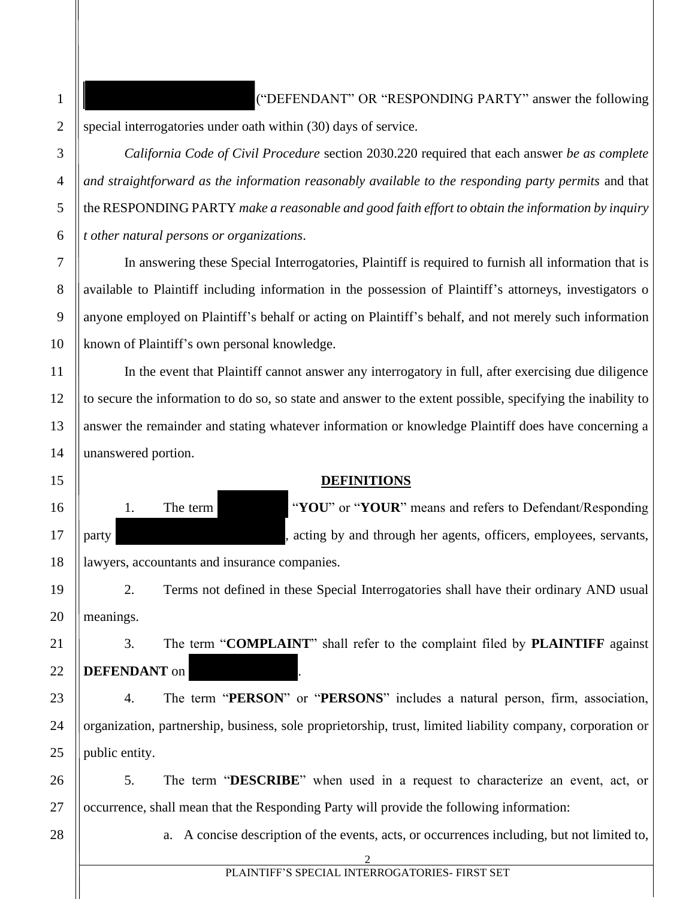("DEFENDANT" OR "RESPONDING PARTY" answer the following special interrogatories under oath within (30) days of service.

*California Code of Civil Procedure* section 2030.220 required that each answer *be as complete and straightforward as the information reasonably available to the responding party permits* and that the RESPONDING PARTY *make a reasonable and good faith effort to obtain the information by inquiry t other natural persons or organizations*.

In answering these Special Interrogatories, Plaintiff is required to furnish all information that is available to Plaintiff including information in the possession of Plaintiff's attorneys, investigators o anyone employed on Plaintiff's behalf or acting on Plaintiff's behalf, and not merely such information known of Plaintiff's own personal knowledge.

In the event that Plaintiff cannot answer any interrogatory in full, after exercising due diligence to secure the information to do so, so state and answer to the extent possible, specifying the inability to answer the remainder and stating whatever information or knowledge Plaintiff does have concerning a unanswered portion.

### **DEFINITIONS**

1. The term "**YOU**" or "**YOUR**" means and refers to Defendant/Responding party states are entirely acting by and through her agents, officers, employees, servants,

lawyers, accountants and insurance companies.

2. Terms not defined in these Special Interrogatories shall have their ordinary AND usual meanings.

3. The term "**COMPLAINT**" shall refer to the complaint filed by **PLAINTIFF** against **DEFENDANT** on .

4. The term "**PERSON**" or "**PERSONS**" includes a natural person, firm, association, organization, partnership, business, sole proprietorship, trust, limited liability company, corporation or public entity.

26 27 5. The term "**DESCRIBE**" when used in a request to characterize an event, act, or occurrence, shall mean that the Responding Party will provide the following information:

28

1

2

3

4

5

6

7

8

9

10

11

12

13

14

15

16

17

18

19

20

21

22

23

24

25

a. A concise description of the events, acts, or occurrences including, but not limited to,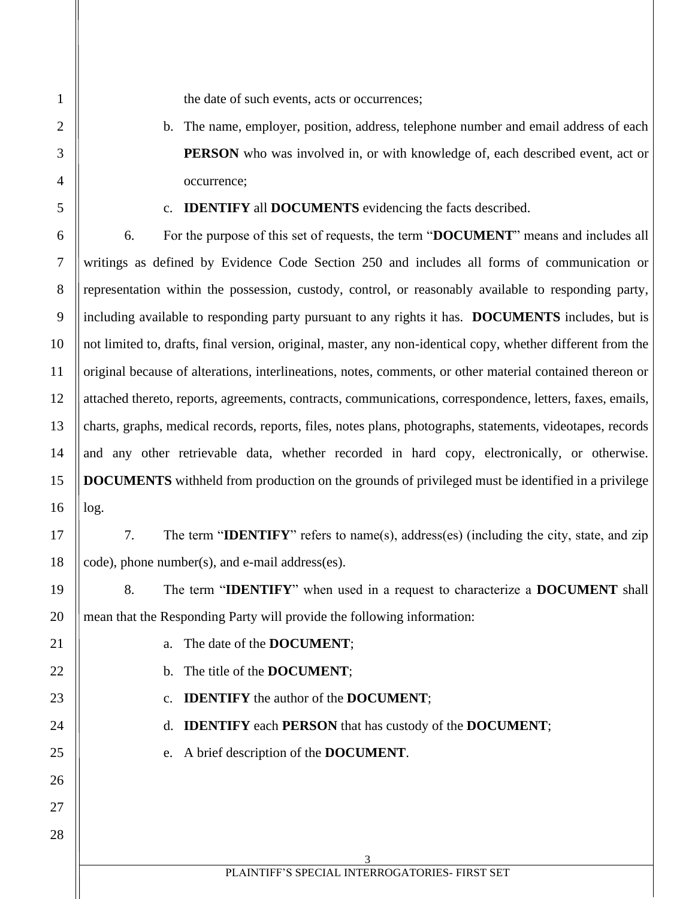the date of such events, acts or occurrences;

b. The name, employer, position, address, telephone number and email address of each **PERSON** who was involved in, or with knowledge of, each described event, act or occurrence;

#### c. **IDENTIFY** all **DOCUMENTS** evidencing the facts described.

6. For the purpose of this set of requests, the term "**DOCUMENT**" means and includes all writings as defined by Evidence Code Section 250 and includes all forms of communication or representation within the possession, custody, control, or reasonably available to responding party, including available to responding party pursuant to any rights it has. **DOCUMENTS** includes, but is not limited to, drafts, final version, original, master, any non-identical copy, whether different from the original because of alterations, interlineations, notes, comments, or other material contained thereon or attached thereto, reports, agreements, contracts, communications, correspondence, letters, faxes, emails, charts, graphs, medical records, reports, files, notes plans, photographs, statements, videotapes, records and any other retrievable data, whether recorded in hard copy, electronically, or otherwise. **DOCUMENTS** withheld from production on the grounds of privileged must be identified in a privilege log.

17 18 7. The term "**IDENTIFY**" refers to name(s), address(es) (including the city, state, and zip code), phone number(s), and e-mail address(es).

8. The term "**IDENTIFY**" when used in a request to characterize a **DOCUMENT** shall mean that the Responding Party will provide the following information:

a. The date of the **DOCUMENT**;

- b. The title of the **DOCUMENT**;
- c. **IDENTIFY** the author of the **DOCUMENT**;

d. **IDENTIFY** each **PERSON** that has custody of the **DOCUMENT**;

e. A brief description of the **DOCUMENT**.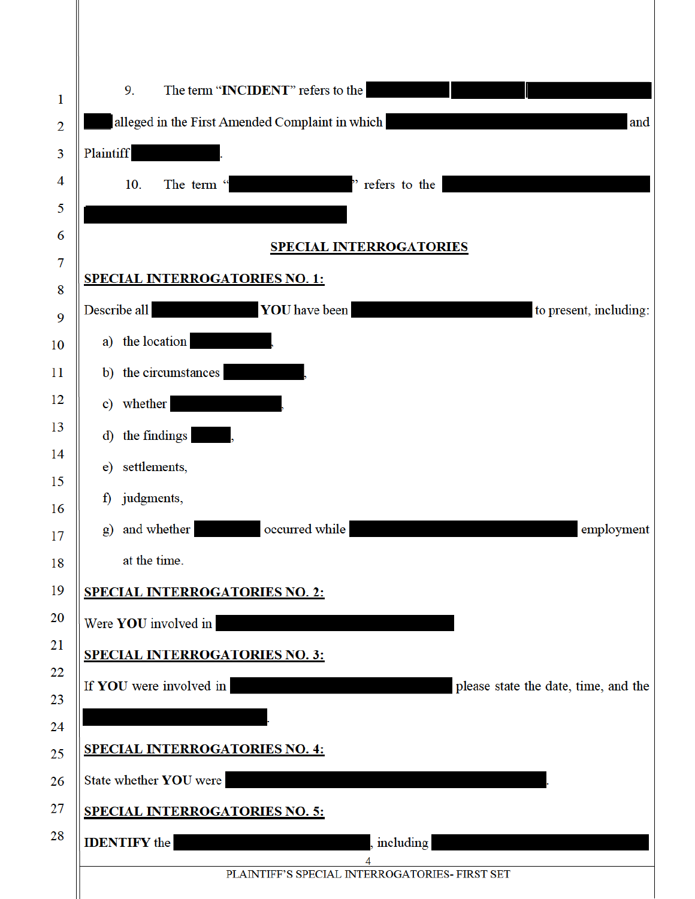| 1              | The term "INCIDENT" refers to the<br>9.                                                                                                       |
|----------------|-----------------------------------------------------------------------------------------------------------------------------------------------|
| $\overline{2}$ | alleged in the First Amended Complaint in which<br>and                                                                                        |
| 3              | Plaintiff                                                                                                                                     |
| 4              | refers to the<br>10.<br>The term "                                                                                                            |
| 5              |                                                                                                                                               |
| 6              | <b>SPECIAL INTERROGATORIES</b>                                                                                                                |
| $\overline{7}$ | <b>SPECIAL INTERROGATORIES NO. 1:</b>                                                                                                         |
| 8<br>9         | Describe all<br><b>YOU</b> have been<br>to present, including:                                                                                |
| 10             | a) the location                                                                                                                               |
| 11             | b) the circumstances                                                                                                                          |
| 12             | c) whether                                                                                                                                    |
| 13             | d) the findings                                                                                                                               |
| 14             | e) settlements,                                                                                                                               |
| 15             | judgments,<br>f)                                                                                                                              |
| 16             | and whether<br>occurred while<br>employment<br>g)                                                                                             |
| 17             | at the time.                                                                                                                                  |
| 18<br>19       |                                                                                                                                               |
| 20             | <b>SPECIAL INTERROGATORIES NO. 2:</b>                                                                                                         |
| 21             | Were YOU involved in<br><u> La Carlo de la Carlo de la Carlo de la Carlo de la Carlo de la Carlo de la Carlo de la Carlo de la Carlo de l</u> |
| 22             | <b>SPECIAL INTERROGATORIES NO. 3:</b>                                                                                                         |
| 23             | If YOU were involved in<br>please state the date, time, and the                                                                               |
| 24             |                                                                                                                                               |
| 25             | <b>SPECIAL INTERROGATORIES NO. 4:</b>                                                                                                         |
| 26             | State whether YOU were                                                                                                                        |
| 27             | <b>SPECIAL INTERROGATORIES NO. 5:</b>                                                                                                         |
| 28             | <b>IDENTIFY</b> the<br>including                                                                                                              |
|                | PLAINTIFF'S SPECIAL INTERROGATORIES- FIRST SET                                                                                                |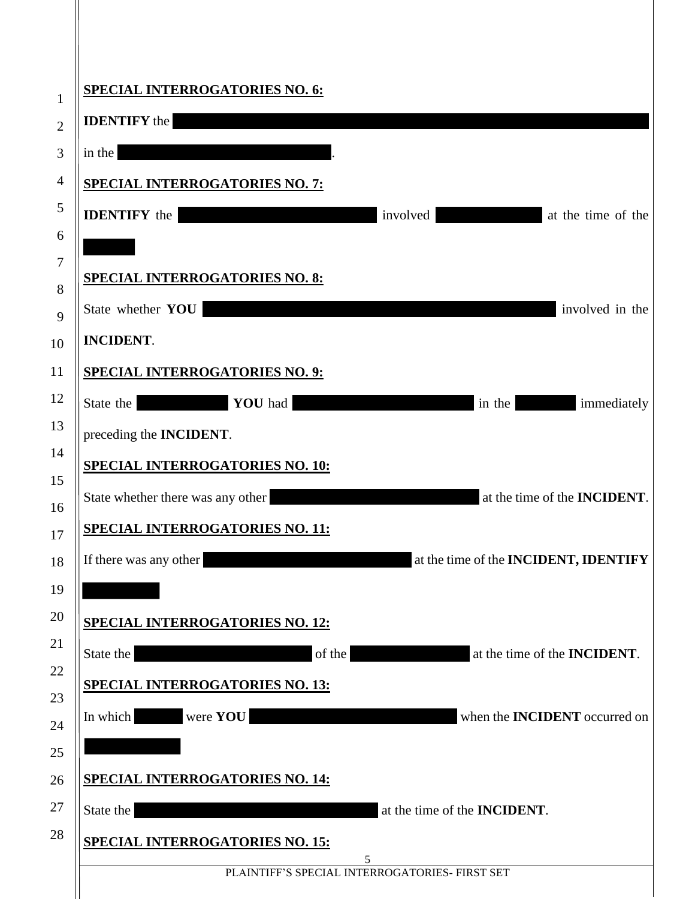| <b>SPECIAL INTERROGATORIES NO. 6:</b>  |                                                        |
|----------------------------------------|--------------------------------------------------------|
| <b>IDENTIFY</b> the                    |                                                        |
| in the                                 |                                                        |
| <b>SPECIAL INTERROGATORIES NO. 7:</b>  |                                                        |
| <b>IDENTIFY</b> the                    | involved<br>at the time of the                         |
|                                        |                                                        |
| <b>SPECIAL INTERROGATORIES NO. 8:</b>  |                                                        |
| State whether YOU                      | involved in the                                        |
| <b>INCIDENT.</b>                       |                                                        |
| <b>SPECIAL INTERROGATORIES NO. 9:</b>  |                                                        |
| YOU had<br>State the                   | in the<br>immediately<br><u>rang pagkalang pada sa</u> |
| preceding the INCIDENT.                |                                                        |
| <b>SPECIAL INTERROGATORIES NO. 10:</b> |                                                        |
| State whether there was any other      | at the time of the <b>INCIDENT</b> .                   |
| <b>SPECIAL INTERROGATORIES NO. 11:</b> |                                                        |
| If there was any other                 | at the time of the <b>INCIDENT</b> , <b>IDENTIFY</b>   |
|                                        |                                                        |
| <b>SPECIAL INTERROGATORIES NO. 12:</b> |                                                        |
| of the<br>State the                    | at the time of the <b>INCIDENT</b> .                   |
| <b>SPECIAL INTERROGATORIES NO. 13:</b> |                                                        |
| In which were <b>YOU</b>               | when the <b>INCIDENT</b> occurred on                   |
|                                        |                                                        |
| <b>SPECIAL INTERROGATORIES NO. 14:</b> |                                                        |
| State the                              | at the time of the <b>INCIDENT</b> .                   |
| <b>SPECIAL INTERROGATORIES NO. 15:</b> |                                                        |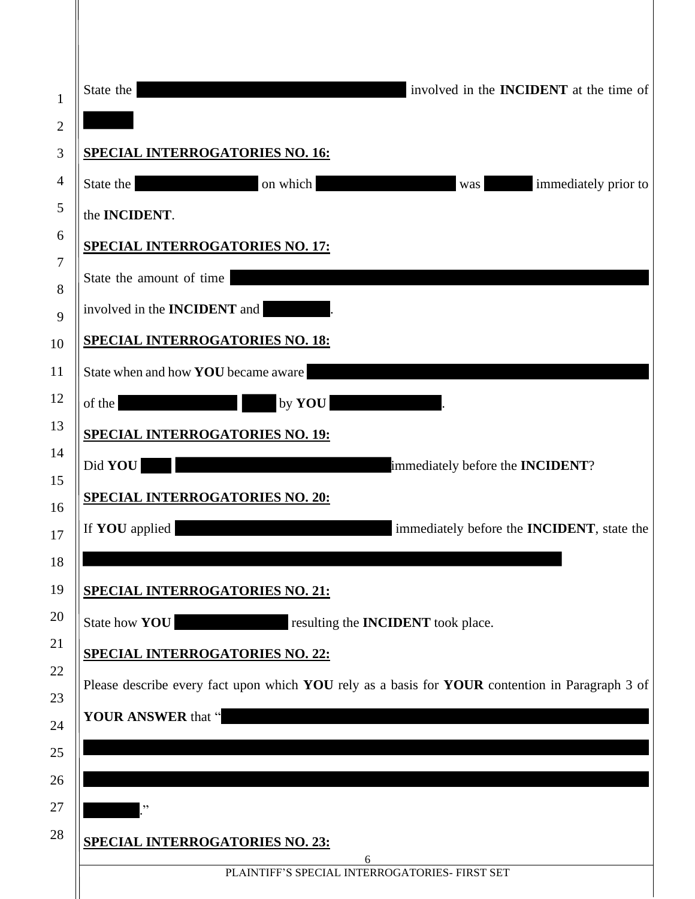|                              | involved in the <b>INCIDENT</b> at the time of<br>State the                                     |
|------------------------------|-------------------------------------------------------------------------------------------------|
| $\mathbf{1}$<br>$\mathbf{2}$ |                                                                                                 |
| 3                            | <b>SPECIAL INTERROGATORIES NO. 16:</b>                                                          |
| $\overline{4}$               | State the<br>on which<br>immediately prior to<br>was                                            |
| 5                            | the <b>INCIDENT</b> .                                                                           |
| 6                            | <b>SPECIAL INTERROGATORIES NO. 17:</b>                                                          |
| 7                            | State the amount of time                                                                        |
| $8\,$<br>9                   | involved in the <b>INCIDENT</b> and                                                             |
| 10                           | <b>SPECIAL INTERROGATORIES NO. 18:</b>                                                          |
| 11                           | State when and how YOU became aware                                                             |
| 12                           | $\overline{\phantom{a}}$<br>by YOU<br>of the                                                    |
| 13                           | <b>SPECIAL INTERROGATORIES NO. 19:</b>                                                          |
| 14                           | Did YOU<br>immediately before the INCIDENT?                                                     |
| 15                           | <b>SPECIAL INTERROGATORIES NO. 20:</b>                                                          |
| 16<br>17                     | If <b>YOU</b> applied<br>immediately before the <b>INCIDENT</b> , state the                     |
| 18                           |                                                                                                 |
| 19                           | <b>SPECIAL INTERROGATORIES NO. 21:</b>                                                          |
| 20                           | State how YOU<br>resulting the <b>INCIDENT</b> took place.                                      |
| 21                           | <b>SPECIAL INTERROGATORIES NO. 22:</b>                                                          |
| 22                           | Please describe every fact upon which YOU rely as a basis for YOUR contention in Paragraph 3 of |
| 23<br>24                     | YOUR ANSWER that "                                                                              |
| 25                           |                                                                                                 |
| 26                           |                                                                                                 |
| 27                           | ,,                                                                                              |
| 28                           | <b>SPECIAL INTERROGATORIES NO. 23:</b>                                                          |
|                              | 6<br>PLAINTIFF'S SPECIAL INTERROGATORIES- FIRST SET                                             |
|                              |                                                                                                 |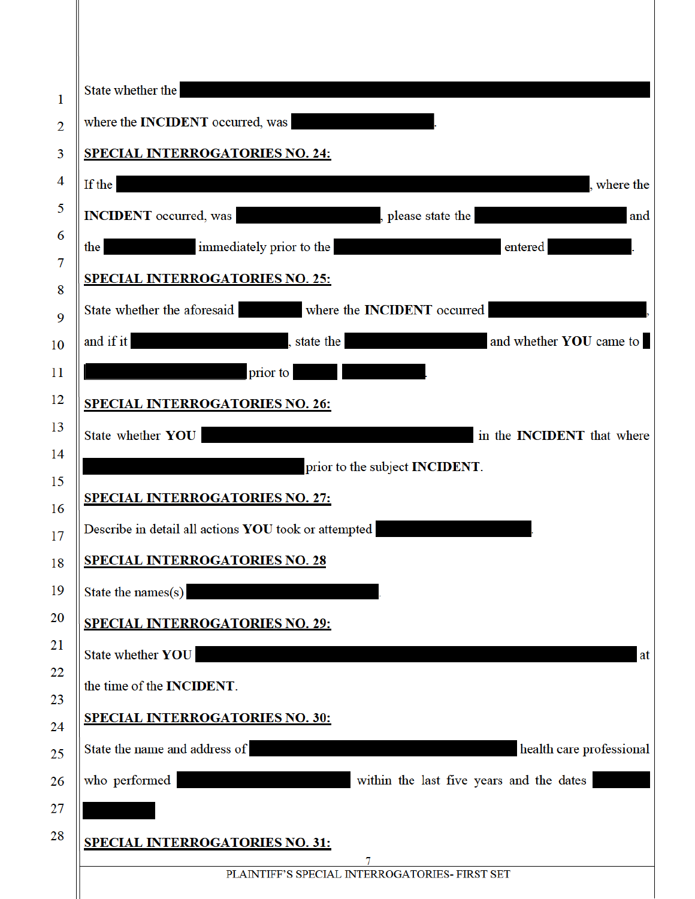| State whether the                                                                                                                                                                                                                                                             |
|-------------------------------------------------------------------------------------------------------------------------------------------------------------------------------------------------------------------------------------------------------------------------------|
| where the <b>INCIDENT</b> occurred, was                                                                                                                                                                                                                                       |
| <b>SPECIAL INTERROGATORIES NO. 24:</b>                                                                                                                                                                                                                                        |
| If the<br>, where the                                                                                                                                                                                                                                                         |
| <b>INCIDENT</b> occurred, was state the state the state the state of the state of the state of the state of the state of the state of the state of the state of the state of the state of the state of the state of the state of th                                           |
| immediately prior to the<br>the<br>entered                                                                                                                                                                                                                                    |
| <b>SPECIAL INTERROGATORIES NO. 25:</b>                                                                                                                                                                                                                                        |
| State whether the aforesaid where the <b>INCIDENT</b> occurred                                                                                                                                                                                                                |
| and if it<br>state the state of the state of the state of the state of the state of the state of the state of the state of the state of the state of the state of the state of the state of the state of the state of the state of the stat<br>and whether <b>YOU</b> came to |
| prior to<br><u> The Communication of the Communication of the Communication of the Communication of the Communication of the Communication of the Communication of the Communication of the Communication of the Communication of the Commun</u>                              |
| <b>SPECIAL INTERROGATORIES NO. 26:</b>                                                                                                                                                                                                                                        |
| State whether YOU<br>in the <b>INCIDENT</b> that where                                                                                                                                                                                                                        |
| prior to the subject <b>INCIDENT</b> .                                                                                                                                                                                                                                        |
| <b>SPECIAL INTERROGATORIES NO. 27:</b>                                                                                                                                                                                                                                        |
| Describe in detail all actions YOU took or attempted                                                                                                                                                                                                                          |
| <b>SPECIAL INTERROGATORIES NO. 28</b>                                                                                                                                                                                                                                         |
| State the names(s)                                                                                                                                                                                                                                                            |
| <b>SPECIAL INTERROGATORIES NO. 29:</b>                                                                                                                                                                                                                                        |
|                                                                                                                                                                                                                                                                               |
| the time of the INCIDENT.                                                                                                                                                                                                                                                     |
| <b>SPECIAL INTERROGATORIES NO. 30:</b>                                                                                                                                                                                                                                        |
| State the name and address of<br>health care professional                                                                                                                                                                                                                     |
| within the last five years and the dates<br>who performed                                                                                                                                                                                                                     |
|                                                                                                                                                                                                                                                                               |
| <b>SPECIAL INTERROGATORIES NO. 31:</b>                                                                                                                                                                                                                                        |
| 7<br>PLAINTIFF'S SPECIAL INTERROGATORIES- FIRST SET                                                                                                                                                                                                                           |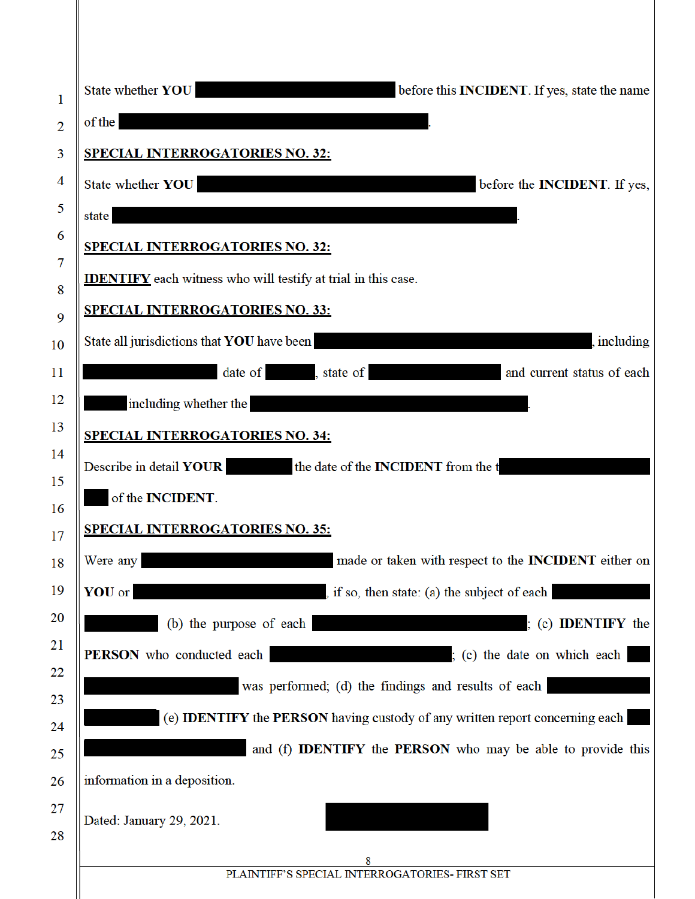| 1              | State whether YOU<br>before this <b>INCIDENT</b> . If yes, state the name                  |
|----------------|--------------------------------------------------------------------------------------------|
| $\overline{2}$ | of the                                                                                     |
| 3              | <b>SPECIAL INTERROGATORIES NO. 32:</b>                                                     |
| 4              | State whether YOU<br>before the <b>INCIDENT</b> . If yes,                                  |
| 5              | state                                                                                      |
| 6              | <b>SPECIAL INTERROGATORIES NO. 32:</b>                                                     |
| 7              | <b>IDENTIFY</b> each witness who will testify at trial in this case.                       |
| 8              | <b>SPECIAL INTERROGATORIES NO. 33:</b>                                                     |
| 9<br>10        | State all jurisdictions that YOU have been<br>, including                                  |
| 11             | date of state of<br>and current status of each                                             |
| 12             | including whether the                                                                      |
| 13             |                                                                                            |
| 14             | <b>SPECIAL INTERROGATORIES NO. 34:</b>                                                     |
| 15             | Describe in detail YOUR the date of the INCIDENT from the t                                |
| 16             | of the INCIDENT.                                                                           |
| 17             | <b>SPECIAL INTERROGATORIES NO. 35:</b>                                                     |
| 18             | made or taken with respect to the <b>INCIDENT</b> either on<br>Were any                    |
| 19             | YOU or<br>, if so, then state: (a) the subject of each                                     |
| 20             | (b) the purpose of each<br>; (c) <b>IDENTIFY</b> the                                       |
| 21             | (c) the date on which each<br>PERSON who conducted each                                    |
| 22             | was performed; (d) the findings and results of each                                        |
| 23<br>24       | (e) <b>IDENTIFY</b> the <b>PERSON</b> having custody of any written report concerning each |
| 25             | and (f) <b>IDENTIFY</b> the <b>PERSON</b> who may be able to provide this                  |
| 26             | information in a deposition.                                                               |
| 27             |                                                                                            |
| 28             | Dated: January 29, 2021.                                                                   |
|                | 8                                                                                          |
|                | PLAINTIFF'S SPECIAL INTERROGATORIES- FIRST SET                                             |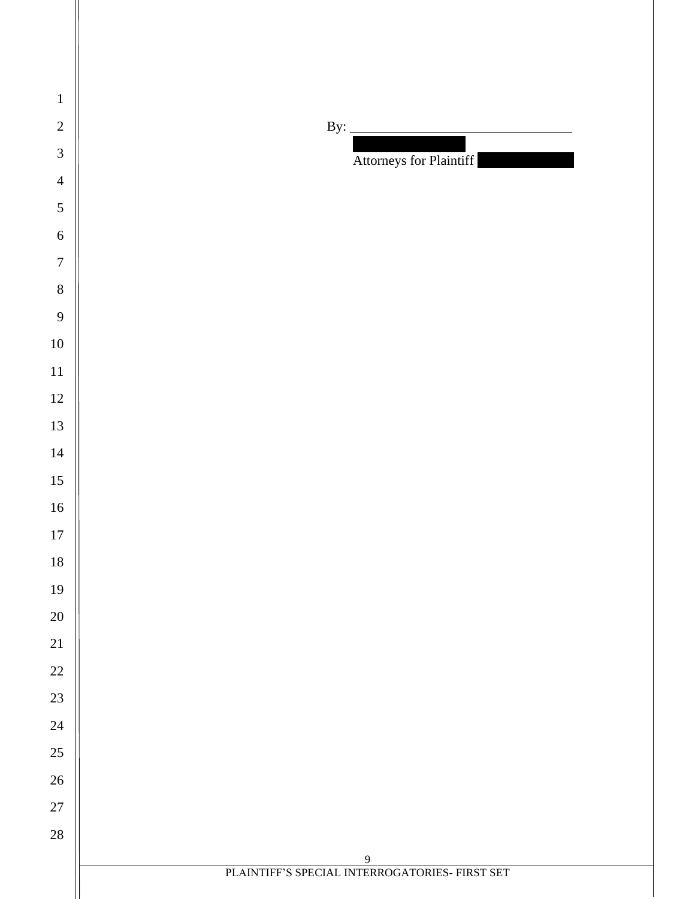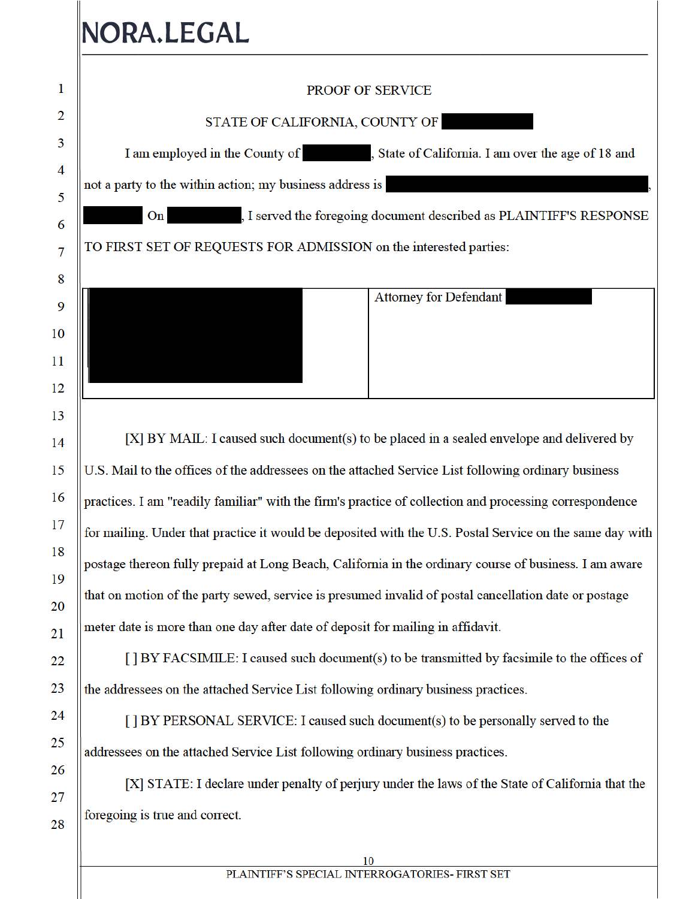# NORA.LEGAL

26

27

28

## $\mathbf{1}$ **PROOF OF SERVICE**  $\overline{2}$ STATE OF CALIFORNIA, COUNTY OF 3 I am employed in the County of State of California. I am over the age of 18 and 4 not a party to the within action; my business address is 5  $\mathbf{On}$ I served the foregoing document described as PLAINTIFF'S RESPONSE 6 TO FIRST SET OF REQUESTS FOR ADMISSION on the interested parties:  $\overline{7}$ 8 **Attorney for Defendant** 9 10 11 12 13  $[X]$  BY MAIL: I caused such document(s) to be placed in a sealed envelope and delivered by 14 15 U.S. Mail to the offices of the addressees on the attached Service List following ordinary business 16 practices. I am "readily familiar" with the firm's practice of collection and processing correspondence 17 for mailing. Under that practice it would be deposited with the U.S. Postal Service on the same day with 18 postage thereon fully prepaid at Long Beach, California in the ordinary course of business. I am aware 19 that on motion of the party sewed, service is presumed invalid of postal cancellation date or postage 20 meter date is more than one day after date of deposit for mailing in affidavit. 21  $[$  BY FACSIMILE: I caused such document(s) to be transmitted by facsimile to the offices of 22 23 the addressees on the attached Service List following ordinary business practices. 24 [] BY PERSONAL SERVICE: I caused such document(s) to be personally served to the 25 addressees on the attached Service List following ordinary business practices.

[X] STATE: I declare under penalty of perjury under the laws of the State of California that the foregoing is true and correct.